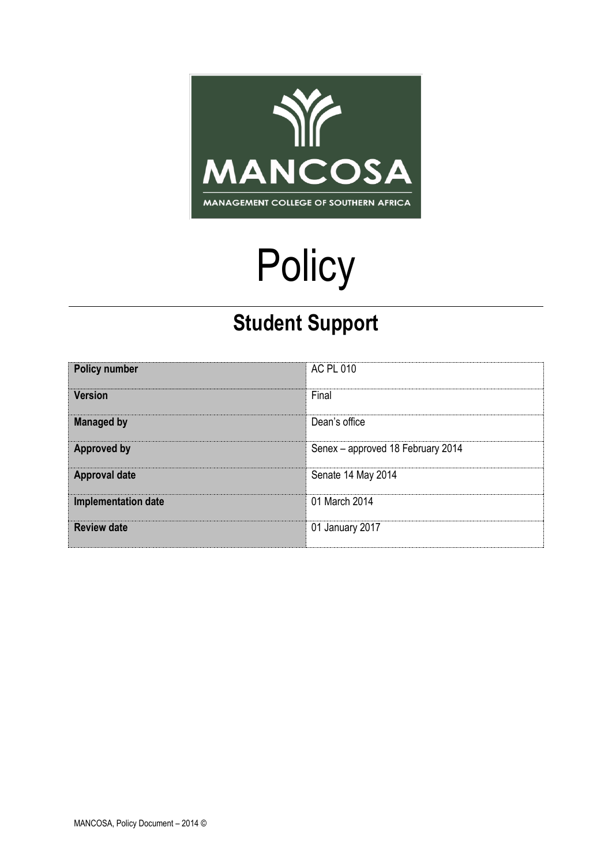

# **Policy**

## **Student Support**

| <b>Policy number</b>       | AC PL 010                         |
|----------------------------|-----------------------------------|
| <b>Version</b>             | Final                             |
| <b>Managed by</b>          | Dean's office                     |
| <b>Approved by</b>         | Senex - approved 18 February 2014 |
| <b>Approval date</b>       | Senate 14 May 2014                |
| <b>Implementation date</b> | 01 March 2014                     |
| <b>Review date</b>         | 01 January 2017                   |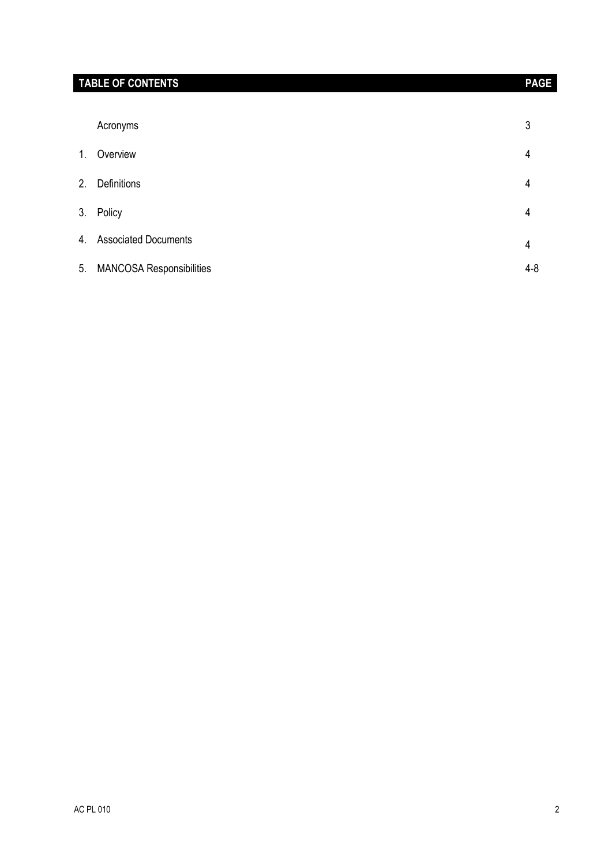| Acronyms                                          | 3            |
|---------------------------------------------------|--------------|
| Overview<br>1.                                    | 4            |
| <b>Definitions</b><br>2.                          | 4            |
|                                                   |              |
| Policy<br>3.<br><b>Associated Documents</b><br>4. | 4            |
| <b>MANCOSA Responsibilities</b><br>5.             | 4<br>$4 - 8$ |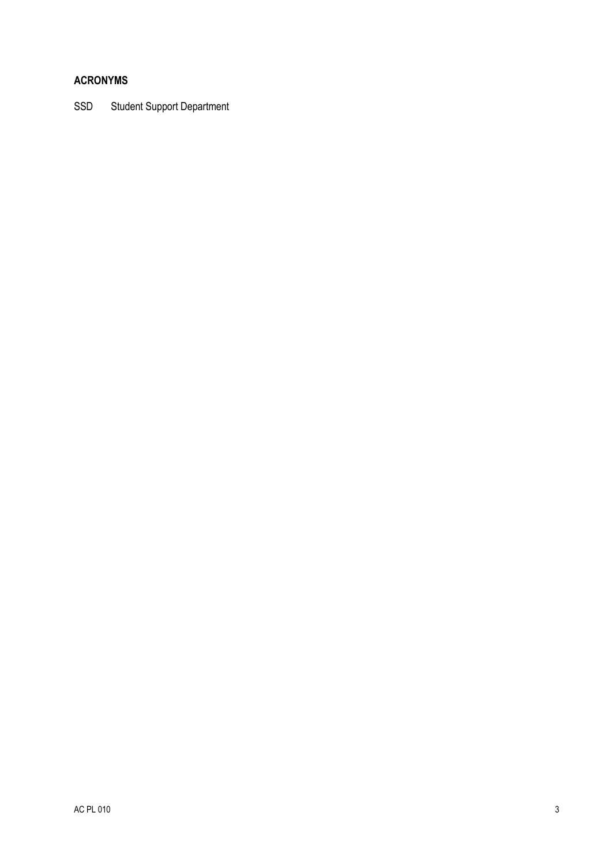### **ACRONYMS**

SSD Student Support Department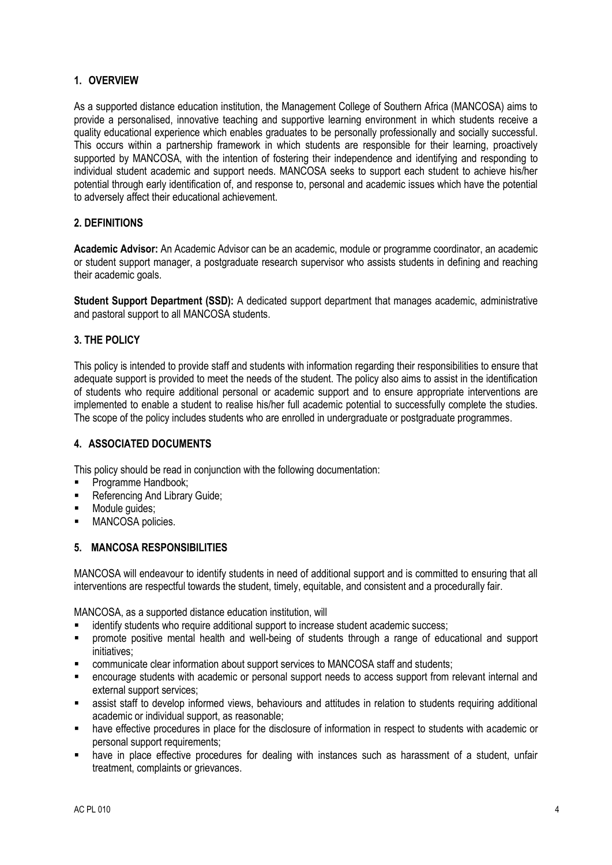#### **1. OVERVIEW**

As a supported distance education institution, the Management College of Southern Africa (MANCOSA) aims to provide a personalised, innovative teaching and supportive learning environment in which students receive a quality educational experience which enables graduates to be personally professionally and socially successful. This occurs within a partnership framework in which students are responsible for their learning, proactively supported by MANCOSA, with the intention of fostering their independence and identifying and responding to individual student academic and support needs. MANCOSA seeks to support each student to achieve his/her potential through early identification of, and response to, personal and academic issues which have the potential to adversely affect their educational achievement.

#### **2. DEFINITIONS**

**Academic Advisor:** An Academic Advisor can be an academic, module or programme coordinator, an academic or student support manager, a postgraduate research supervisor who assists students in defining and reaching their academic goals.

**Student Support Department (SSD):** A dedicated support department that manages academic, administrative and pastoral support to all MANCOSA students.

#### **3. THE POLICY**

This policy is intended to provide staff and students with information regarding their responsibilities to ensure that adequate support is provided to meet the needs of the student. The policy also aims to assist in the identification of students who require additional personal or academic support and to ensure appropriate interventions are implemented to enable a student to realise his/her full academic potential to successfully complete the studies. The scope of the policy includes students who are enrolled in undergraduate or postgraduate programmes.

#### **4. ASSOCIATED DOCUMENTS**

This policy should be read in conjunction with the following documentation:

- Programme Handbook;
- Referencing And Library Guide;
- **Nodule quides:**
- **MANCOSA policies.**

#### **5. MANCOSA RESPONSIBILITIES**

MANCOSA will endeavour to identify students in need of additional support and is committed to ensuring that all interventions are respectful towards the student, timely, equitable, and consistent and a procedurally fair.

MANCOSA, as a supported distance education institution, will

- identify students who require additional support to increase student academic success:
- promote positive mental health and well-being of students through a range of educational and support initiatives;
- communicate clear information about support services to MANCOSA staff and students;
- encourage students with academic or personal support needs to access support from relevant internal and external support services;
- assist staff to develop informed views, behaviours and attitudes in relation to students requiring additional academic or individual support, as reasonable;
- have effective procedures in place for the disclosure of information in respect to students with academic or personal support requirements;
- have in place effective procedures for dealing with instances such as harassment of a student, unfair treatment, complaints or grievances.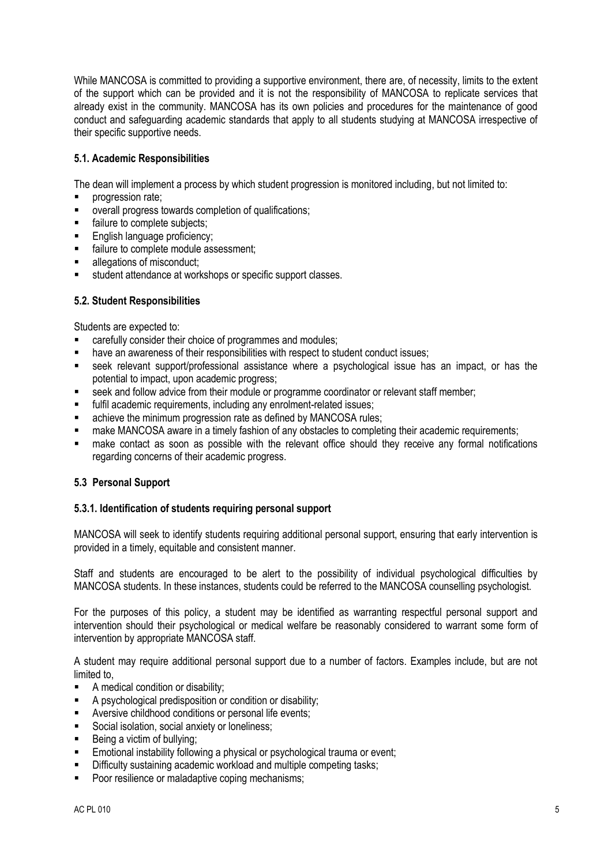While MANCOSA is committed to providing a supportive environment, there are, of necessity, limits to the extent of the support which can be provided and it is not the responsibility of MANCOSA to replicate services that already exist in the community. MANCOSA has its own policies and procedures for the maintenance of good conduct and safeguarding academic standards that apply to all students studying at MANCOSA irrespective of their specific supportive needs.

#### **5.1. Academic Responsibilities**

The dean will implement a process by which student progression is monitored including, but not limited to:

- progression rate;
- overall progress towards completion of qualifications;
- failure to complete subjects;
- English language proficiency;
- failure to complete module assessment;
- **allegations of misconduct;**
- student attendance at workshops or specific support classes.

#### **5.2. Student Responsibilities**

Students are expected to:

- carefully consider their choice of programmes and modules;
- have an awareness of their responsibilities with respect to student conduct issues;
- seek relevant support/professional assistance where a psychological issue has an impact, or has the potential to impact, upon academic progress;
- seek and follow advice from their module or programme coordinator or relevant staff member;
- **fulfil academic requirements, including any enrolment-related issues;**
- **EXECUTE:** achieve the minimum progression rate as defined by MANCOSA rules:
- make MANCOSA aware in a timely fashion of any obstacles to completing their academic requirements;
- make contact as soon as possible with the relevant office should they receive any formal notifications regarding concerns of their academic progress.

#### **5.3 Personal Support**

#### **5.3.1. Identification of students requiring personal support**

MANCOSA will seek to identify students requiring additional personal support, ensuring that early intervention is provided in a timely, equitable and consistent manner.

Staff and students are encouraged to be alert to the possibility of individual psychological difficulties by MANCOSA students. In these instances, students could be referred to the MANCOSA counselling psychologist.

For the purposes of this policy, a student may be identified as warranting respectful personal support and intervention should their psychological or medical welfare be reasonably considered to warrant some form of intervention by appropriate MANCOSA staff.

A student may require additional personal support due to a number of factors. Examples include, but are not limited to,

- A medical condition or disability;
- A psychological predisposition or condition or disability;
- **Aversive childhood conditions or personal life events;**
- Social isolation, social anxiety or loneliness:
- Being a victim of bullying;
- **Emotional instability following a physical or psychological trauma or event;**
- Difficulty sustaining academic workload and multiple competing tasks;
- **Poor resilience or maladaptive coping mechanisms:**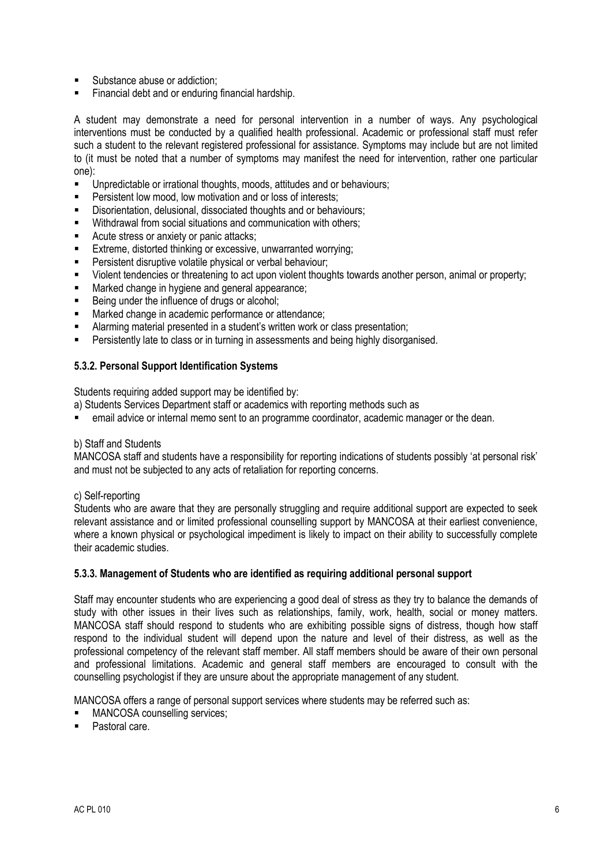- Substance abuse or addiction;
- Financial debt and or enduring financial hardship.

A student may demonstrate a need for personal intervention in a number of ways. Any psychological interventions must be conducted by a qualified health professional. Academic or professional staff must refer such a student to the relevant registered professional for assistance. Symptoms may include but are not limited to (it must be noted that a number of symptoms may manifest the need for intervention, rather one particular one):

- Unpredictable or irrational thoughts, moods, attitudes and or behaviours;
- Persistent low mood, low motivation and or loss of interests;
- Disorientation, delusional, dissociated thoughts and or behaviours;
- Withdrawal from social situations and communication with others;
- Acute stress or anxiety or panic attacks;
- Extreme, distorted thinking or excessive, unwarranted worrying;
- **Persistent disruptive volatile physical or verbal behaviour;**
- Violent tendencies or threatening to act upon violent thoughts towards another person, animal or property;
- **Marked change in hygiene and general appearance:**
- Being under the influence of drugs or alcohol;
- **Marked change in academic performance or attendance;**
- Alarming material presented in a student's written work or class presentation;
- Persistently late to class or in turning in assessments and being highly disorganised.

#### **5.3.2. Personal Support Identification Systems**

Students requiring added support may be identified by:

- a) Students Services Department staff or academics with reporting methods such as
- email advice or internal memo sent to an programme coordinator, academic manager or the dean.

#### b) Staff and Students

MANCOSA staff and students have a responsibility for reporting indications of students possibly 'at personal risk' and must not be subjected to any acts of retaliation for reporting concerns.

#### c) Self-reporting

Students who are aware that they are personally struggling and require additional support are expected to seek relevant assistance and or limited professional counselling support by MANCOSA at their earliest convenience, where a known physical or psychological impediment is likely to impact on their ability to successfully complete their academic studies.

#### **5.3.3. Management of Students who are identified as requiring additional personal support**

Staff may encounter students who are experiencing a good deal of stress as they try to balance the demands of study with other issues in their lives such as relationships, family, work, health, social or money matters. MANCOSA staff should respond to students who are exhibiting possible signs of distress, though how staff respond to the individual student will depend upon the nature and level of their distress, as well as the professional competency of the relevant staff member. All staff members should be aware of their own personal and professional limitations. Academic and general staff members are encouraged to consult with the counselling psychologist if they are unsure about the appropriate management of any student.

MANCOSA offers a range of personal support services where students may be referred such as:

- MANCOSA counselling services;
- Pastoral care.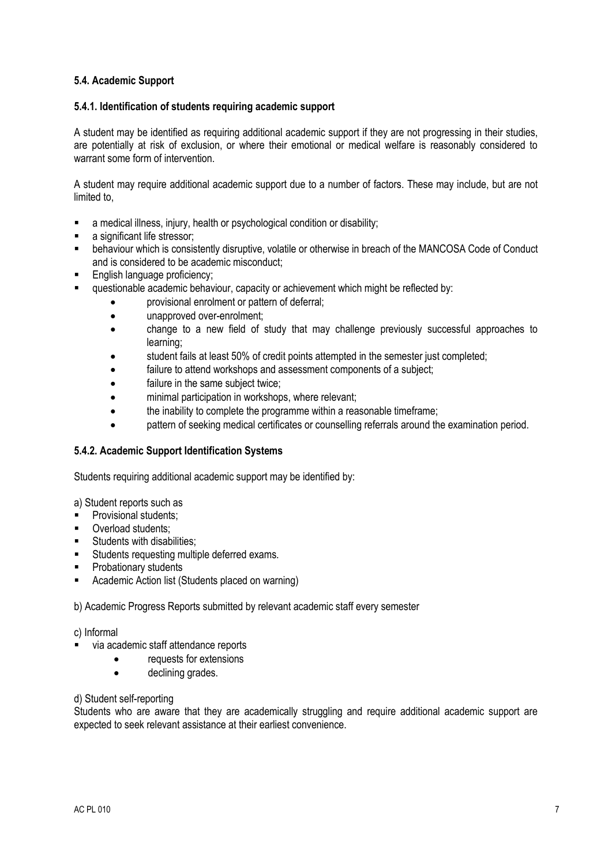#### **5.4. Academic Support**

#### **5.4.1. Identification of students requiring academic support**

A student may be identified as requiring additional academic support if they are not progressing in their studies, are potentially at risk of exclusion, or where their emotional or medical welfare is reasonably considered to warrant some form of intervention.

A student may require additional academic support due to a number of factors. These may include, but are not limited to,

- a medical illness, injury, health or psychological condition or disability;
- a significant life stressor;
- behaviour which is consistently disruptive, volatile or otherwise in breach of the MANCOSA Code of Conduct and is considered to be academic misconduct;
- **English language proficiency;**
- questionable academic behaviour, capacity or achievement which might be reflected by:
	- provisional enrolment or pattern of deferral;
	- unapproved over-enrolment;
	- change to a new field of study that may challenge previously successful approaches to learning;
	- student fails at least 50% of credit points attempted in the semester just completed;
	- failure to attend workshops and assessment components of a subject;
	- failure in the same subject twice;
	- minimal participation in workshops, where relevant;
	- the inability to complete the programme within a reasonable timeframe;
	- pattern of seeking medical certificates or counselling referrals around the examination period.

#### **5.4.2. Academic Support Identification Systems**

Students requiring additional academic support may be identified by:

a) Student reports such as

- Provisional students;
- **Overload students:**
- **Students with disabilities;**
- **Students requesting multiple deferred exams.**
- **Probationary students**
- Academic Action list (Students placed on warning)

b) Academic Progress Reports submitted by relevant academic staff every semester

#### c) Informal

- via academic staff attendance reports
	- requests for extensions
	- declining grades.

#### d) Student self-reporting

Students who are aware that they are academically struggling and require additional academic support are expected to seek relevant assistance at their earliest convenience.